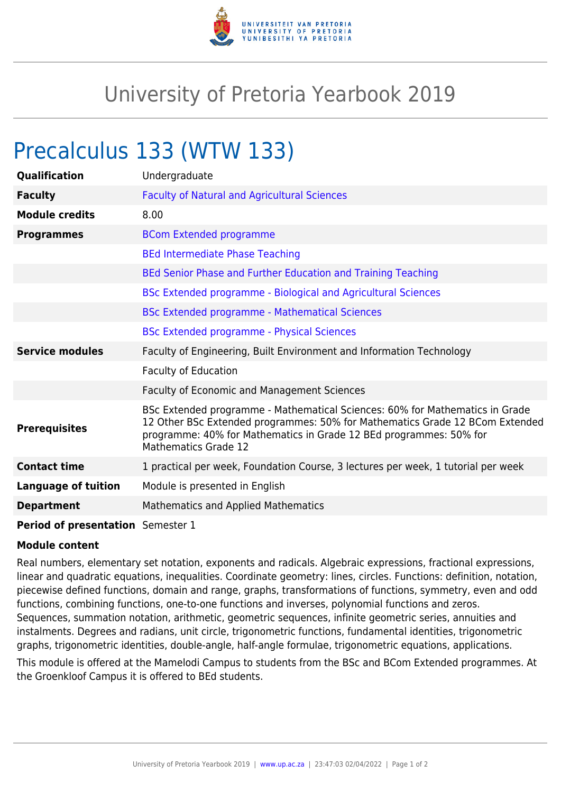

## University of Pretoria Yearbook 2019

## Precalculus 133 (WTW 133)

| Qualification                     | Undergraduate                                                                                                                                                                                                                                                     |
|-----------------------------------|-------------------------------------------------------------------------------------------------------------------------------------------------------------------------------------------------------------------------------------------------------------------|
| <b>Faculty</b>                    | <b>Faculty of Natural and Agricultural Sciences</b>                                                                                                                                                                                                               |
| <b>Module credits</b>             | 8.00                                                                                                                                                                                                                                                              |
| <b>Programmes</b>                 | <b>BCom Extended programme</b>                                                                                                                                                                                                                                    |
|                                   | <b>BEd Intermediate Phase Teaching</b>                                                                                                                                                                                                                            |
|                                   | BEd Senior Phase and Further Education and Training Teaching                                                                                                                                                                                                      |
|                                   | BSc Extended programme - Biological and Agricultural Sciences                                                                                                                                                                                                     |
|                                   | <b>BSc Extended programme - Mathematical Sciences</b>                                                                                                                                                                                                             |
|                                   | <b>BSc Extended programme - Physical Sciences</b>                                                                                                                                                                                                                 |
| <b>Service modules</b>            | Faculty of Engineering, Built Environment and Information Technology                                                                                                                                                                                              |
|                                   | <b>Faculty of Education</b>                                                                                                                                                                                                                                       |
|                                   | Faculty of Economic and Management Sciences                                                                                                                                                                                                                       |
| <b>Prerequisites</b>              | BSc Extended programme - Mathematical Sciences: 60% for Mathematics in Grade<br>12 Other BSc Extended programmes: 50% for Mathematics Grade 12 BCom Extended<br>programme: 40% for Mathematics in Grade 12 BEd programmes: 50% for<br><b>Mathematics Grade 12</b> |
| <b>Contact time</b>               | 1 practical per week, Foundation Course, 3 lectures per week, 1 tutorial per week                                                                                                                                                                                 |
| <b>Language of tuition</b>        | Module is presented in English                                                                                                                                                                                                                                    |
| <b>Department</b>                 | Mathematics and Applied Mathematics                                                                                                                                                                                                                               |
| Period of presentation Semester 1 |                                                                                                                                                                                                                                                                   |

## **Module content**

Real numbers, elementary set notation, exponents and radicals. Algebraic expressions, fractional expressions, linear and quadratic equations, inequalities. Coordinate geometry: lines, circles. Functions: definition, notation, piecewise defined functions, domain and range, graphs, transformations of functions, symmetry, even and odd functions, combining functions, one-to-one functions and inverses, polynomial functions and zeros. Sequences, summation notation, arithmetic, geometric sequences, infinite geometric series, annuities and instalments. Degrees and radians, unit circle, trigonometric functions, fundamental identities, trigonometric graphs, trigonometric identities, double-angle, half-angle formulae, trigonometric equations, applications.

This module is offered at the Mamelodi Campus to students from the BSc and BCom Extended programmes. At the Groenkloof Campus it is offered to BEd students.